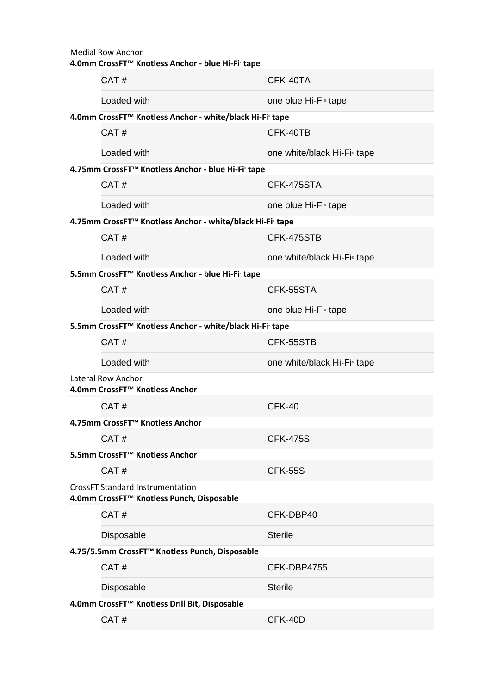| <b>Medial Row Anchor</b><br>4.0mm CrossFT™ Knotless Anchor - blue Hi-Fi∙ tape        |             |                                         |  |  |
|--------------------------------------------------------------------------------------|-------------|-----------------------------------------|--|--|
|                                                                                      | CAT#        | CFK-40TA                                |  |  |
|                                                                                      | Loaded with | one blue Hi-Fi <sup>®</sup> tape        |  |  |
| 4.0mm CrossFT™ Knotless Anchor - white/black Hi-Fi· tape                             |             |                                         |  |  |
|                                                                                      | CAT#        | CFK-40TB                                |  |  |
|                                                                                      | Loaded with | one white/black Hi-Fi <sup>®</sup> tape |  |  |
| 4.75mm CrossFT™ Knotless Anchor - blue Hi-Fi tape                                    |             |                                         |  |  |
|                                                                                      | CAT#        | CFK-475STA                              |  |  |
|                                                                                      | Loaded with | one blue Hi-Fi <sup>®</sup> tape        |  |  |
| 4.75mm CrossFT <sup>™</sup> Knotless Anchor - white/black Hi-Fi' tape                |             |                                         |  |  |
|                                                                                      | CAT#        | CFK-475STB                              |  |  |
|                                                                                      | Loaded with | one white/black Hi-Fi <sup>®</sup> tape |  |  |
| 5.5mm CrossFT™ Knotless Anchor - blue Hi-Fi· tape                                    |             |                                         |  |  |
|                                                                                      | CAT#        | CFK-55STA                               |  |  |
|                                                                                      | Loaded with | one blue Hi-Fi <sup>®</sup> tape        |  |  |
| 5.5mm CrossFT™ Knotless Anchor - white/black Hi-Fi' tape                             |             |                                         |  |  |
|                                                                                      | CAT#        | CFK-55STB                               |  |  |
|                                                                                      | Loaded with | one white/black Hi-Fi <sup>®</sup> tape |  |  |
| Lateral Row Anchor<br>4.0mm CrossFT™ Knotless Anchor                                 |             |                                         |  |  |
|                                                                                      | CAT#        | CFK-40                                  |  |  |
| 4.75mm CrossFT <sup>™</sup> Knotless Anchor                                          |             |                                         |  |  |
|                                                                                      | CAT#        | <b>CFK-475S</b>                         |  |  |
| 5.5mm CrossFT <sup>™</sup> Knotless Anchor                                           |             |                                         |  |  |
|                                                                                      | CAT#        | <b>CFK-55S</b>                          |  |  |
| <b>CrossFT Standard Instrumentation</b><br>4.0mm CrossFT™ Knotless Punch, Disposable |             |                                         |  |  |
|                                                                                      | CAT#        | CFK-DBP40                               |  |  |
|                                                                                      | Disposable  | <b>Sterile</b>                          |  |  |
| 4.75/5.5mm CrossFT™ Knotless Punch, Disposable                                       |             |                                         |  |  |
|                                                                                      | CAT#        | CFK-DBP4755                             |  |  |
|                                                                                      | Disposable  | <b>Sterile</b>                          |  |  |
| 4.0mm CrossFT™ Knotless Drill Bit, Disposable                                        |             |                                         |  |  |
|                                                                                      | CAT#        | CFK-40D                                 |  |  |